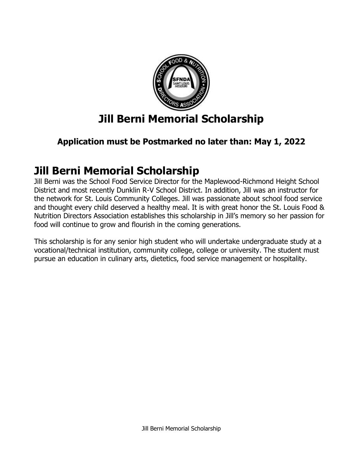

# **Jill Berni Memorial Scholarship**

# **Application must be Postmarked no later than: May 1, 2022**

# **Jill Berni Memorial Scholarship**

Jill Berni was the School Food Service Director for the Maplewood-Richmond Height School District and most recently Dunklin R-V School District. In addition, Jill was an instructor for the network for St. Louis Community Colleges. Jill was passionate about school food service and thought every child deserved a healthy meal. It is with great honor the St. Louis Food & Nutrition Directors Association establishes this scholarship in Jill's memory so her passion for food will continue to grow and flourish in the coming generations.

This scholarship is for any senior high student who will undertake undergraduate study at a vocational/technical institution, community college, college or university. The student must pursue an education in culinary arts, dietetics, food service management or hospitality.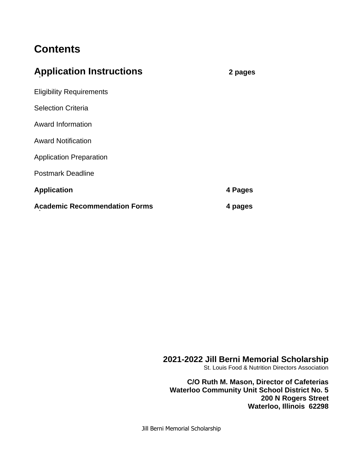# **Contents**

| <b>Application Instructions</b>      | 2 pages |
|--------------------------------------|---------|
| <b>Eligibility Requirements</b>      |         |
| <b>Selection Criteria</b>            |         |
| Award Information                    |         |
| <b>Award Notification</b>            |         |
| <b>Application Preparation</b>       |         |
| <b>Postmark Deadline</b>             |         |
| <b>Application</b>                   | 4 Pages |
| <b>Academic Recommendation Forms</b> | 4 pages |

### **2021-2022 Jill Berni Memorial Scholarship**

St. Louis Food & Nutrition Directors Association

**C/O Ruth M. Mason, Director of Cafeterias Waterloo Community Unit School District No. 5 200 N Rogers Street Waterloo, Illinois 62298**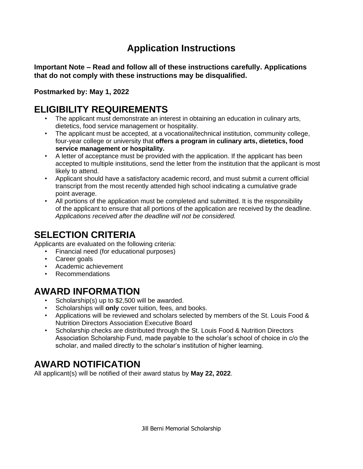# **Application Instructions**

**Important Note – Read and follow all of these instructions carefully. Applications that do not comply with these instructions may be disqualified.**

**Postmarked by: May 1, 2022**

# **ELIGIBILITY REQUIREMENTS**

- The applicant must demonstrate an interest in obtaining an education in culinary arts, dietetics, food service management or hospitality.
- The applicant must be accepted, at a vocational/technical institution, community college, four-year college or university that **offers a program in culinary arts, dietetics, food service management or hospitality.**
- A letter of acceptance must be provided with the application. If the applicant has been accepted to multiple institutions, send the letter from the institution that the applicant is most likely to attend.
- Applicant should have a satisfactory academic record, and must submit a current official transcript from the most recently attended high school indicating a cumulative grade point average.
- All portions of the application must be completed and submitted. It is the responsibility of the applicant to ensure that all portions of the application are received by the deadline. *Applications received after the deadline will not be considered.*

# **SELECTION CRITERIA**

Applicants are evaluated on the following criteria:

- Financial need (for educational purposes)
- Career goals
- Academic achievement
- Recommendations

# **AWARD INFORMATION**

- Scholarship(s) up to \$2,500 will be awarded.
- Scholarships will **only** cover tuition, fees, and books.
- Applications will be reviewed and scholars selected by members of the St. Louis Food & Nutrition Directors Association Executive Board
- Scholarship checks are distributed through the St. Louis Food & Nutrition Directors Association Scholarship Fund, made payable to the scholar's school of choice in c/o the scholar, and mailed directly to the scholar's institution of higher learning.

# **AWARD NOTIFICATION**

All applicant(s) will be notified of their award status by **May 22, 2022**.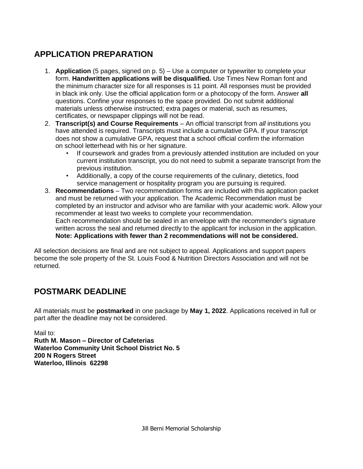## **APPLICATION PREPARATION**

- 1. **Application** (5 pages, signed on p. 5) Use a computer or typewriter to complete your form. **Handwritten applications will be disqualified.** Use Times New Roman font and the minimum character size for all responses is 11 point. All responses must be provided in black ink only. Use the official application form or a photocopy of the form. Answer **all** questions. Confine your responses to the space provided. Do not submit additional materials unless otherwise instructed; extra pages or material, such as resumes, certificates, or newspaper clippings will not be read.
- 2. **Transcript(s) and Course Requirements**  An official transcript from *all* institutions you have attended is required. Transcripts must include a cumulative GPA. If your transcript does not show a cumulative GPA, request that a school official confirm the information on school letterhead with his or her signature.
	- If coursework and grades from a previously attended institution are included on your current institution transcript, you do not need to submit a separate transcript from the previous institution.
	- Additionally, a copy of the course requirements of the culinary, dietetics, food service management or hospitality program you are pursuing is required.
- 3. **Recommendations**  Two recommendation forms are included with this application packet and must be returned with your application. The Academic Recommendation must be completed by an instructor and advisor who are familiar with your academic work. Allow your recommender at least two weeks to complete your recommendation. Each recommendation should be sealed in an envelope with the recommender's signature written across the seal and returned directly to the applicant for inclusion in the application. **Note: Applications with fewer than 2 recommendations will not be considered.**

All selection decisions are final and are not subject to appeal. Applications and support papers become the sole property of the St. Louis Food & Nutrition Directors Association and will not be returned.

## **POSTMARK DEADLINE**

All materials must be **postmarked** in one package by **May 1, 2022**. Applications received in full or part after the deadline may not be considered.

Mail to:

**Ruth M. Mason – Director of Cafeterias Waterloo Community Unit School District No. 5 200 N Rogers Street Waterloo, Illinois 62298**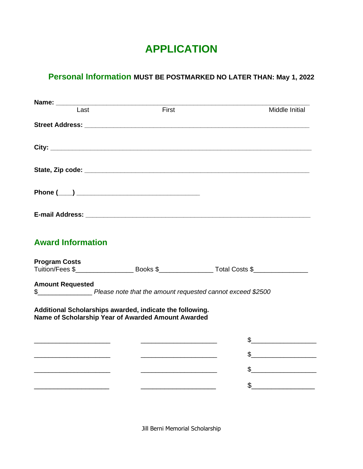# **APPLICATION**

# **Personal Information MUST BE POSTMARKED NO LATER THAN: May 1, 2022**

| Last                     | First                                                                                                                 | <b>Middle Initial</b>                                                                                                                                                                                                                                                                                                                               |
|--------------------------|-----------------------------------------------------------------------------------------------------------------------|-----------------------------------------------------------------------------------------------------------------------------------------------------------------------------------------------------------------------------------------------------------------------------------------------------------------------------------------------------|
|                          |                                                                                                                       |                                                                                                                                                                                                                                                                                                                                                     |
|                          |                                                                                                                       |                                                                                                                                                                                                                                                                                                                                                     |
|                          |                                                                                                                       |                                                                                                                                                                                                                                                                                                                                                     |
|                          |                                                                                                                       |                                                                                                                                                                                                                                                                                                                                                     |
|                          |                                                                                                                       |                                                                                                                                                                                                                                                                                                                                                     |
| <b>Award Information</b> |                                                                                                                       |                                                                                                                                                                                                                                                                                                                                                     |
| <b>Program Costs</b>     |                                                                                                                       |                                                                                                                                                                                                                                                                                                                                                     |
| <b>Amount Requested</b>  |                                                                                                                       |                                                                                                                                                                                                                                                                                                                                                     |
|                          | \$_________________________ Please note that the amount requested cannot exceed \$2500                                |                                                                                                                                                                                                                                                                                                                                                     |
|                          | Additional Scholarships awarded, indicate the following.                                                              |                                                                                                                                                                                                                                                                                                                                                     |
|                          | Name of Scholarship Year of Awarded Amount Awarded                                                                    |                                                                                                                                                                                                                                                                                                                                                     |
|                          | <u> 1999 - Johann Barn, mars and de Branch Barn, mars and de Branch Barn, mars and de Branch Barn, mars and de Br</u> | $\frac{1}{2}$                                                                                                                                                                                                                                                                                                                                       |
|                          | <u> 1989 - Johann Barbara, martin amerikan basar dan berasal dalam basa dalam basar dalam basar dalam basa dalam</u>  | $\begin{picture}(20,10) \put(0,0){\line(1,0){10}} \put(15,0){\line(1,0){10}} \put(15,0){\line(1,0){10}} \put(15,0){\line(1,0){10}} \put(15,0){\line(1,0){10}} \put(15,0){\line(1,0){10}} \put(15,0){\line(1,0){10}} \put(15,0){\line(1,0){10}} \put(15,0){\line(1,0){10}} \put(15,0){\line(1,0){10}} \put(15,0){\line(1,0){10}} \put(15,0){\line(1$ |
|                          |                                                                                                                       |                                                                                                                                                                                                                                                                                                                                                     |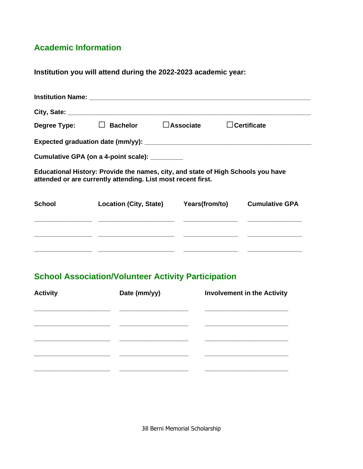### **Academic Information**

**Institution you will attend during the 2022-2023 academic year:**

|               | Degree Type: □ Bachelor □ Associate                                                                                                              | <b>Certificate</b>    |
|---------------|--------------------------------------------------------------------------------------------------------------------------------------------------|-----------------------|
|               |                                                                                                                                                  |                       |
|               | Cumulative GPA (on a 4-point scale): _________                                                                                                   |                       |
|               | Educational History: Provide the names, city, and state of High Schools you have<br>attended or are currently attending. List most recent first. |                       |
| <b>School</b> | Location (City, State) Years (from/to)                                                                                                           | <b>Cumulative GPA</b> |
|               |                                                                                                                                                  |                       |

## **School Association/Volunteer Activity Participation**

| <b>Activity</b> | Date (mm/yy) | <b>Involvement in the Activity</b> |
|-----------------|--------------|------------------------------------|
|                 |              |                                    |
|                 |              |                                    |
|                 |              |                                    |
|                 |              |                                    |
|                 |              |                                    |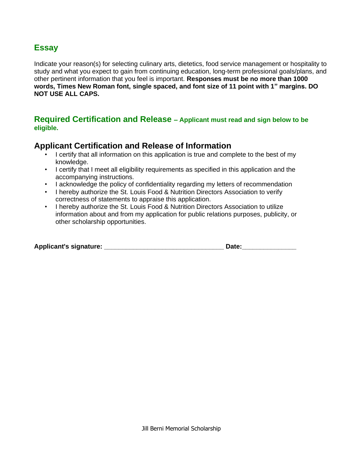#### **Essay**

Indicate your reason(s) for selecting culinary arts, dietetics, food service management or hospitality to study and what you expect to gain from continuing education, long-term professional goals/plans, and other pertinent information that you feel is important. **Responses must be no more than 1000 words, Times New Roman font, single spaced, and font size of 11 point with 1" margins. DO NOT USE ALL CAPS.** 

#### **Required Certification and Release – Applicant must read and sign below to be eligible.**

#### **Applicant Certification and Release of Information**

- I certify that all information on this application is true and complete to the best of my knowledge.
- I certify that I meet all eligibility requirements as specified in this application and the accompanying instructions.
- I acknowledge the policy of confidentiality regarding my letters of recommendation
- I hereby authorize the St. Louis Food & Nutrition Directors Association to verify correctness of statements to appraise this application.
- I hereby authorize the St. Louis Food & Nutrition Directors Association to utilize information about and from my application for public relations purposes, publicity, or other scholarship opportunities.

| <b>Applicant's signature:</b> | Date: |
|-------------------------------|-------|
|                               |       |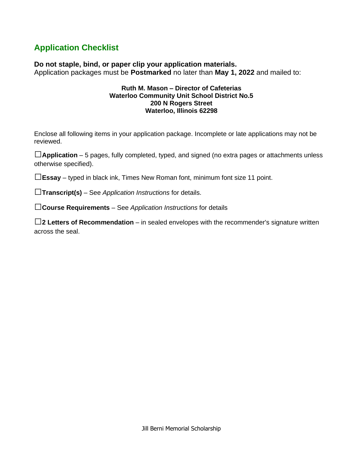## **Application Checklist**

**Do not staple, bind, or paper clip your application materials.** Application packages must be **Postmarked** no later than **May 1, 2022** and mailed to:

#### **Ruth M. Mason – Director of Cafeterias Waterloo Community Unit School District No.5 200 N Rogers Street Waterloo, Illinois 62298**

Enclose all following items in your application package. Incomplete or late applications may not be reviewed.

**□Application** – 5 pages, fully completed, typed, and signed (no extra pages or attachments unless otherwise specified).

**□Essay** – typed in black ink, Times New Roman font, minimum font size 11 point.

**□Transcript(s)** – See *Application Instructions* for details.

**□Course Requirements** – See *Application Instructions* for details

□ **2 Letters of Recommendation** – in sealed envelopes with the recommender's signature written across the seal.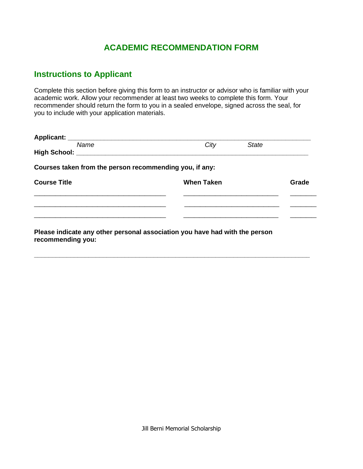#### **ACADEMIC RECOMMENDATION FORM**

#### **Instructions to Applicant**

**recommending you:**

Complete this section before giving this form to an instructor or advisor who is familiar with your academic work. Allow your recommender at least two weeks to complete this form. Your recommender should return the form to you in a sealed envelope, signed across the seal, for you to include with your application materials.

| City                                                    | <b>State</b> |       |
|---------------------------------------------------------|--------------|-------|
| High School: ________________________                   |              |       |
| Courses taken from the person recommending you, if any: |              |       |
| <b>When Taken</b>                                       |              | Grade |
|                                                         |              |       |
|                                                         |              |       |
|                                                         |              |       |
|                                                         |              |       |

**\_\_\_\_\_\_\_\_\_\_\_\_\_\_\_\_\_\_\_\_\_\_\_\_\_\_\_\_\_\_\_\_\_\_\_\_\_\_\_\_\_\_\_\_\_\_\_\_\_\_\_\_\_\_\_\_\_\_\_\_\_\_\_\_\_\_\_\_\_\_\_\_\_\_\_\_**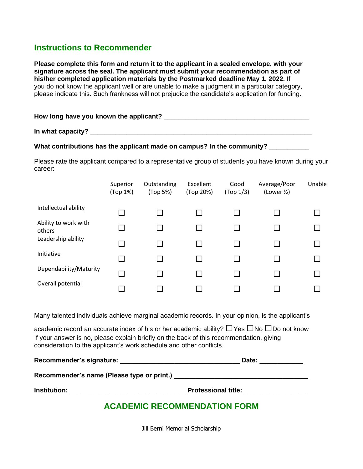#### **Instructions to Recommender**

**Please complete this form and return it to the applicant in a sealed envelope, with your signature across the seal. The applicant must submit your recommendation as part of his/her completed application materials by the Postmarked deadline May 1, 2022.** If you do not know the applicant well or are unable to make a judgment in a particular category, please indicate this. Such frankness will not prejudice the candidate's application for funding.

| How long have you known the applicant? |  |
|----------------------------------------|--|
|----------------------------------------|--|

**In what capacity? \_\_\_\_\_\_\_\_\_\_\_\_\_\_\_\_\_\_\_\_\_\_\_\_\_\_\_\_\_\_\_\_\_\_\_\_\_\_\_\_\_\_\_\_\_\_\_\_\_\_\_\_\_\_\_\_\_\_\_\_\_** 

#### What contributions has the applicant made on campus? In the community?

Please rate the applicant compared to a representative group of students you have known during your career:

|                                | Superior<br>(Top 1%) | Outstanding<br>(Top 5%) | Excellent<br>(Top 20%) | Good<br>(Top 1/3) | Average/Poor<br>(Lower $\frac{1}{2}$ ) | Unable |
|--------------------------------|----------------------|-------------------------|------------------------|-------------------|----------------------------------------|--------|
| Intellectual ability           |                      |                         |                        |                   |                                        |        |
| Ability to work with<br>others |                      |                         |                        |                   |                                        |        |
| Leadership ability             |                      |                         |                        |                   |                                        |        |
| Initiative                     |                      |                         |                        |                   |                                        |        |
| Dependability/Maturity         |                      |                         |                        |                   |                                        |        |
| Overall potential              |                      |                         |                        |                   |                                        |        |

Many talented individuals achieve marginal academic records. In your opinion, is the applicant's

academic record an accurate index of his or her academic ability? **□**Yes **□**No **□**Do not know If your answer is no, please explain briefly on the back of this recommendation, giving consideration to the applicant's work schedule and other conflicts.

| Recommender's signature:                   | Date:                      |
|--------------------------------------------|----------------------------|
| Recommender's name (Please type or print.) |                            |
| <b>Institution:</b>                        | <b>Professional title:</b> |

### **ACADEMIC RECOMMENDATION FORM**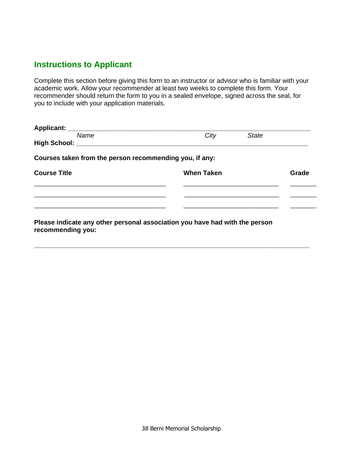### **Instructions to Applicant**

Complete this section before giving this form to an instructor or advisor who is familiar with your academic work. Allow your recommender at least two weeks to complete this form. Your recommender should return the form to you in a sealed envelope, signed across the seal, for you to include with your application materials.

| Name                                                    | City<br>State                                                               |       |
|---------------------------------------------------------|-----------------------------------------------------------------------------|-------|
|                                                         |                                                                             |       |
| Courses taken from the person recommending you, if any: |                                                                             |       |
| <b>Course Title</b>                                     | <b>When Taken</b>                                                           | Grade |
|                                                         |                                                                             |       |
|                                                         |                                                                             |       |
|                                                         |                                                                             |       |
|                                                         | Please indicate any other personal association you have had with the person |       |

**\_\_\_\_\_\_\_\_\_\_\_\_\_\_\_\_\_\_\_\_\_\_\_\_\_\_\_\_\_\_\_\_\_\_\_\_\_\_\_\_\_\_\_\_\_\_\_\_\_\_\_\_\_\_\_\_\_\_\_\_\_\_\_\_\_\_\_\_\_\_\_\_\_\_\_\_** 

**Please indicate any other personal association you have had with the person recommending you:**